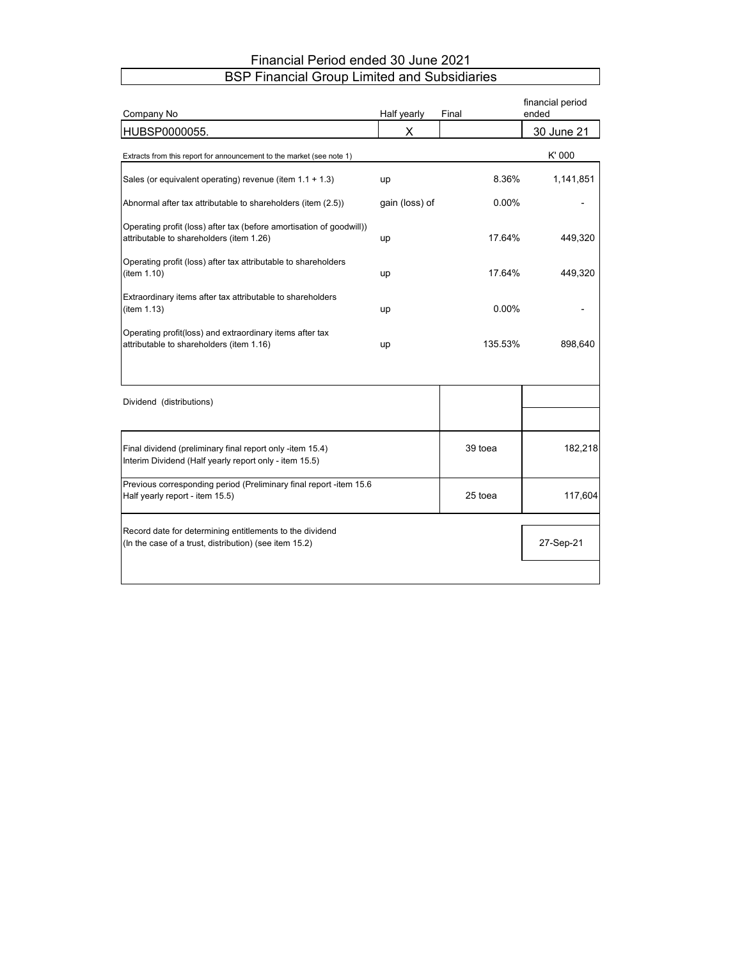# Financial Period ended 30 June 2021 BSP Financial Group Limited and Subsidiaries

| Company No                                                                                                          | Half yearly    | Final   | financial period<br>ended |
|---------------------------------------------------------------------------------------------------------------------|----------------|---------|---------------------------|
| HUBSP0000055.                                                                                                       | X              |         | 30 June 21                |
| Extracts from this report for announcement to the market (see note 1)                                               |                |         | K'000                     |
| Sales (or equivalent operating) revenue (item $1.1 + 1.3$ )                                                         | up             | 8.36%   | 1,141,851                 |
| Abnormal after tax attributable to shareholders (item (2.5))                                                        | gain (loss) of | 0.00%   |                           |
| Operating profit (loss) after tax (before amortisation of goodwill))<br>attributable to shareholders (item 1.26)    | up             | 17.64%  | 449,320                   |
| Operating profit (loss) after tax attributable to shareholders<br>(item 1.10)                                       | up             | 17.64%  | 449,320                   |
| Extraordinary items after tax attributable to shareholders<br>(item 1.13)                                           | up             | 0.00%   |                           |
| Operating profit(loss) and extraordinary items after tax<br>attributable to shareholders (item 1.16)                | up             | 135.53% | 898,640                   |
| Dividend (distributions)                                                                                            |                |         |                           |
| Final dividend (preliminary final report only -item 15.4)<br>Interim Dividend (Half yearly report only - item 15.5) |                | 39 toea | 182,218                   |
| Previous corresponding period (Preliminary final report -item 15.6<br>Half yearly report - item 15.5)               |                | 25 toea | 117,604                   |
| Record date for determining entitlements to the dividend<br>(In the case of a trust, distribution) (see item 15.2)  |                |         | 27-Sep-21                 |
|                                                                                                                     |                |         |                           |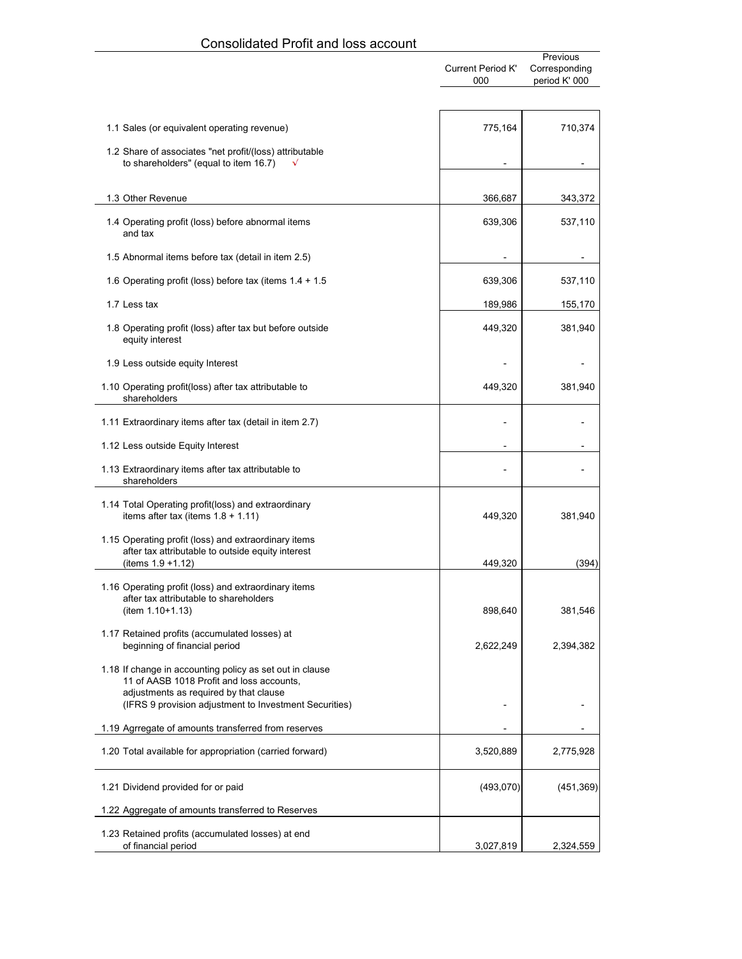|                                                                                                                                                                                                           | <b>Current Period K'</b><br>000 | Previous<br>Corresponding<br>period K' 000 |
|-----------------------------------------------------------------------------------------------------------------------------------------------------------------------------------------------------------|---------------------------------|--------------------------------------------|
|                                                                                                                                                                                                           |                                 |                                            |
| 1.1 Sales (or equivalent operating revenue)                                                                                                                                                               | 775,164                         | 710,374                                    |
| 1.2 Share of associates "net profit/(loss) attributable<br>to shareholders" (equal to item 16.7)                                                                                                          |                                 |                                            |
| 1.3 Other Revenue                                                                                                                                                                                         | 366,687                         | 343,372                                    |
| 1.4 Operating profit (loss) before abnormal items<br>and tax                                                                                                                                              | 639,306                         | 537,110                                    |
| 1.5 Abnormal items before tax (detail in item 2.5)                                                                                                                                                        |                                 |                                            |
| 1.6 Operating profit (loss) before tax (items 1.4 + 1.5                                                                                                                                                   | 639,306                         | 537,110                                    |
| 1.7 Less tax                                                                                                                                                                                              | 189,986                         | 155,170                                    |
| 1.8 Operating profit (loss) after tax but before outside<br>equity interest                                                                                                                               | 449,320                         | 381,940                                    |
| 1.9 Less outside equity Interest                                                                                                                                                                          |                                 |                                            |
| 1.10 Operating profit(loss) after tax attributable to<br>shareholders                                                                                                                                     | 449,320                         | 381,940                                    |
| 1.11 Extraordinary items after tax (detail in item 2.7)                                                                                                                                                   |                                 |                                            |
| 1.12 Less outside Equity Interest                                                                                                                                                                         |                                 |                                            |
| 1.13 Extraordinary items after tax attributable to<br>shareholders                                                                                                                                        |                                 |                                            |
| 1.14 Total Operating profit(loss) and extraordinary<br>items after tax (items $1.8 + 1.11$ )                                                                                                              | 449,320                         | 381,940                                    |
| 1.15 Operating profit (loss) and extraordinary items<br>after tax attributable to outside equity interest<br>(items 1.9 +1.12)                                                                            | 449,320                         | (394)                                      |
| 1.16 Operating profit (loss) and extraordinary items<br>after tax attributable to shareholders<br>(item 1.10+1.13)                                                                                        | 898,640                         | 381,546                                    |
| 1.17 Retained profits (accumulated losses) at<br>beginning of financial period                                                                                                                            | 2,622,249                       | 2,394,382                                  |
| 1.18 If change in accounting policy as set out in clause<br>11 of AASB 1018 Profit and loss accounts,<br>adjustments as required by that clause<br>(IFRS 9 provision adjustment to Investment Securities) |                                 |                                            |
| 1.19 Agrregate of amounts transferred from reserves                                                                                                                                                       |                                 |                                            |
| 1.20 Total available for appropriation (carried forward)                                                                                                                                                  | 3,520,889                       | 2,775,928                                  |
| 1.21 Dividend provided for or paid                                                                                                                                                                        | (493,070)                       | (451, 369)                                 |
| 1.22 Aggregate of amounts transferred to Reserves                                                                                                                                                         |                                 |                                            |
| 1.23 Retained profits (accumulated losses) at end<br>of financial period                                                                                                                                  | 3,027,819                       | 2,324,559                                  |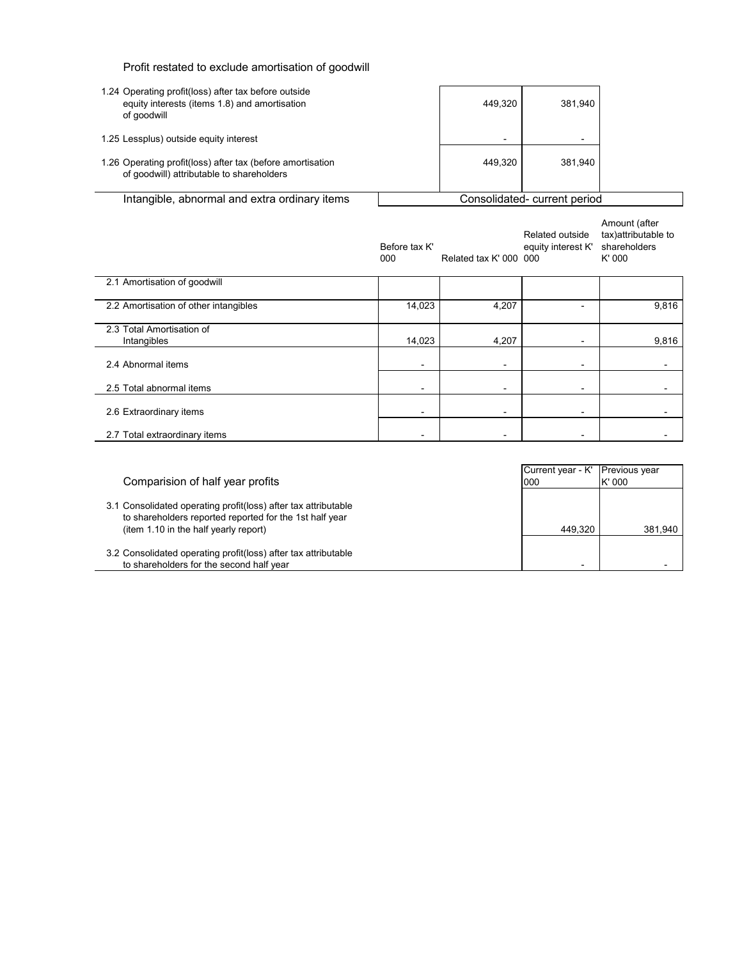| Profit restated to exclude amortisation of goodwill |  |  |  |
|-----------------------------------------------------|--|--|--|
|-----------------------------------------------------|--|--|--|

| 1.24 Operating profit(loss) after tax before outside<br>equity interests (items 1.8) and amortisation<br>of goodwill |  | 449.320        | 381.940                     |  |
|----------------------------------------------------------------------------------------------------------------------|--|----------------|-----------------------------|--|
| 1.25 Lessplus) outside equity interest                                                                               |  | $\blacksquare$ | $\overline{\phantom{0}}$    |  |
| 1.26 Operating profit(loss) after tax (before amortisation<br>of goodwill) attributable to shareholders              |  | 449.320        | 381.940                     |  |
| Intangible, abnormal and extra ordinary items                                                                        |  |                | Consolidated-current period |  |

|                                          | Before tax K'<br>000     | Related tax K' 000 000   | Related outside<br>equity interest K' | Amount (after<br>tax) attributable to<br>shareholders<br>K'000 |
|------------------------------------------|--------------------------|--------------------------|---------------------------------------|----------------------------------------------------------------|
| 2.1 Amortisation of goodwill             |                          |                          |                                       |                                                                |
| 2.2 Amortisation of other intangibles    | 14,023                   | 4,207                    |                                       | 9,816                                                          |
| 2.3 Total Amortisation of<br>Intangibles | 14,023                   | 4,207                    |                                       | 9,816                                                          |
| 2.4 Abnormal items                       |                          | $\overline{\phantom{a}}$ |                                       |                                                                |
| 2.5 Total abnormal items                 | $\overline{\phantom{0}}$ | $\overline{a}$           |                                       |                                                                |
| 2.6 Extraordinary items                  | $\blacksquare$           | $\overline{\phantom{a}}$ | $\overline{\phantom{a}}$              |                                                                |
| 2.7 Total extraordinary items            |                          |                          |                                       |                                                                |

| Comparision of half year profits                                                                                                                                   | Current year - K'<br>000 | <b>Previous year</b><br>K'000 |
|--------------------------------------------------------------------------------------------------------------------------------------------------------------------|--------------------------|-------------------------------|
| 3.1 Consolidated operating profit(loss) after tax attributable<br>to shareholders reported reported for the 1st half year<br>(item 1.10 in the half yearly report) | 449.320                  | 381.940                       |
| 3.2 Consolidated operating profit(loss) after tax attributable<br>to shareholders for the second half vear                                                         |                          |                               |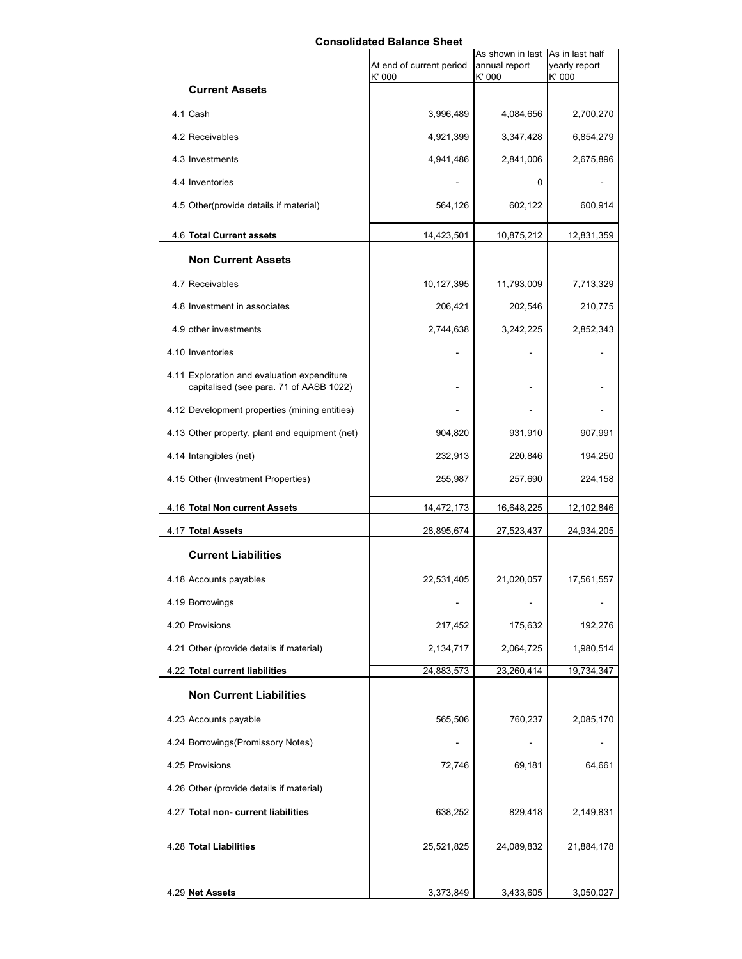# **Consolidated Balance Sheet**

|                                                                                        | At end of current period | As shown in last<br>annual report | As in last half<br>yearly report |
|----------------------------------------------------------------------------------------|--------------------------|-----------------------------------|----------------------------------|
|                                                                                        | K' 000                   | K' 000                            | K' 000                           |
| <b>Current Assets</b>                                                                  |                          |                                   |                                  |
| 4.1 Cash                                                                               | 3,996,489                | 4,084,656                         | 2,700,270                        |
| 4.2 Receivables                                                                        | 4,921,399                | 3,347,428                         | 6,854,279                        |
| 4.3 Investments                                                                        | 4,941,486                | 2,841,006                         | 2,675,896                        |
| 4.4 Inventories                                                                        |                          | 0                                 |                                  |
| 4.5 Other(provide details if material)                                                 | 564,126                  | 602,122                           | 600,914                          |
| 4.6 Total Current assets                                                               | 14,423,501               | 10,875,212                        | 12,831,359                       |
| <b>Non Current Assets</b>                                                              |                          |                                   |                                  |
| 4.7 Receivables                                                                        | 10,127,395               | 11,793,009                        | 7,713,329                        |
| 4.8 Investment in associates                                                           | 206,421                  | 202,546                           | 210,775                          |
| 4.9 other investments                                                                  | 2,744,638                | 3,242,225                         | 2,852,343                        |
| 4.10 Inventories                                                                       |                          |                                   |                                  |
| 4.11 Exploration and evaluation expenditure<br>capitalised (see para. 71 of AASB 1022) |                          |                                   |                                  |
| 4.12 Development properties (mining entities)                                          |                          |                                   |                                  |
| 4.13 Other property, plant and equipment (net)                                         | 904,820                  | 931,910                           | 907,991                          |
| 4.14 Intangibles (net)                                                                 | 232,913                  | 220,846                           | 194,250                          |
| 4.15 Other (Investment Properties)                                                     | 255,987                  | 257,690                           | 224,158                          |
| 4.16 Total Non current Assets                                                          | 14,472,173               | 16,648,225                        | 12,102,846                       |
| 4.17 Total Assets                                                                      | 28,895,674               | 27,523,437                        | 24,934,205                       |
| <b>Current Liabilities</b>                                                             |                          |                                   |                                  |
| 4.18 Accounts payables                                                                 | 22,531,405               | 21,020,057                        | 17,561,557                       |
| 4.19 Borrowings                                                                        |                          |                                   |                                  |
| 4.20 Provisions                                                                        | 217,452                  | 175,632                           | 192,276                          |
| 4.21 Other (provide details if material)                                               | 2,134,717                | 2,064,725                         | 1,980,514                        |
| 4.22 Total current liabilities                                                         | 24,883,573               | 23,260,414                        | 19,734,347                       |
| <b>Non Current Liabilities</b>                                                         |                          |                                   |                                  |
| 4.23 Accounts payable                                                                  | 565,506                  | 760,237                           | 2,085,170                        |
| 4.24 Borrowings (Promissory Notes)                                                     |                          |                                   |                                  |
| 4.25 Provisions                                                                        | 72,746                   | 69,181                            | 64,661                           |
| 4.26 Other (provide details if material)                                               |                          |                                   |                                  |
| 4.27 Total non- current liabilities                                                    | 638,252                  | 829,418                           | 2,149,831                        |
| 4.28 Total Liabilities                                                                 | 25,521,825               | 24,089,832                        | 21,884,178                       |
| 4.29 Net Assets                                                                        | 3,373,849                | 3,433,605                         | 3,050,027                        |
|                                                                                        |                          |                                   |                                  |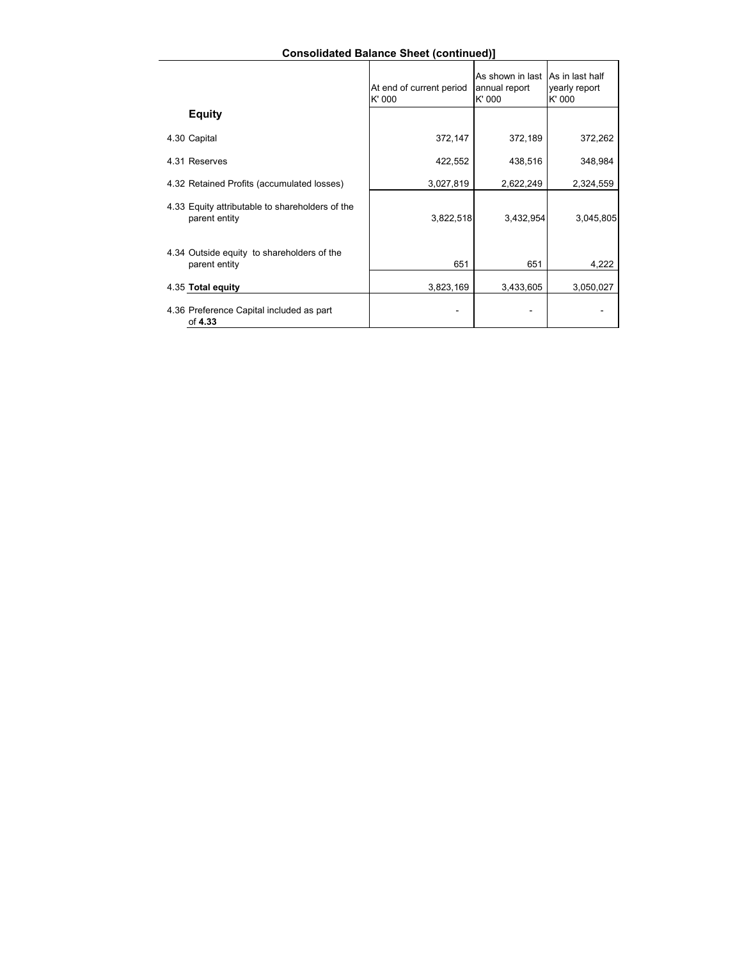# **Consolidated Balance Sheet (continued)]**

|                                                                  | At end of current period<br>K' 000 | As shown in last As in last half<br>annual report<br>K' 000 | yearly report<br>K' 000 |
|------------------------------------------------------------------|------------------------------------|-------------------------------------------------------------|-------------------------|
| <b>Equity</b>                                                    |                                    |                                                             |                         |
| 4.30 Capital                                                     | 372,147                            | 372,189                                                     | 372,262                 |
| 4.31 Reserves                                                    | 422,552                            | 438,516                                                     | 348,984                 |
| 4.32 Retained Profits (accumulated losses)                       | 3,027,819                          | 2,622,249                                                   | 2,324,559               |
| 4.33 Equity attributable to shareholders of the<br>parent entity | 3,822,518                          | 3,432,954                                                   | 3,045,805               |
| 4.34 Outside equity to shareholders of the<br>parent entity      | 651                                | 651                                                         | 4,222                   |
| 4.35 Total equity                                                | 3,823,169                          | 3,433,605                                                   | 3,050,027               |
| 4.36 Preference Capital included as part<br>of 4.33              |                                    |                                                             |                         |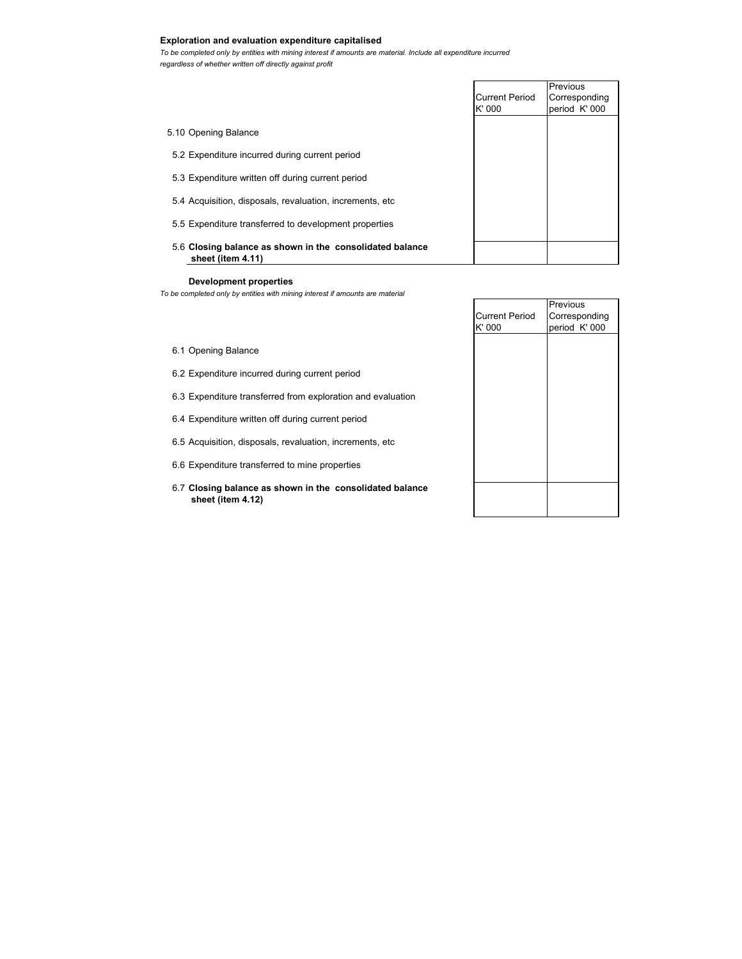# **Exploration and evaluation expenditure capitalised**

*To be completed only by entities with mining interest if amounts are material. Include all expenditure incurred regardless of whether written off directly against profit*

|                       | Previous      |
|-----------------------|---------------|
| <b>Current Period</b> | Corresponding |
| K' 000                | period K' 000 |
|                       |               |
|                       |               |
|                       |               |
|                       |               |
|                       |               |
|                       |               |
|                       |               |
|                       |               |
|                       |               |
|                       |               |
|                       |               |
|                       |               |

## **Development properties**

*To be completed only by entities with mining interest if amounts are material*

|                                 | Previous                       |
|---------------------------------|--------------------------------|
| <b>Current Period</b><br>K' 000 | Corresponding<br>period K' 000 |
|                                 |                                |
|                                 |                                |
|                                 |                                |
|                                 |                                |
|                                 |                                |
|                                 |                                |
|                                 |                                |
|                                 |                                |
|                                 |                                |

- 6.1 Opening Balance
- 6.2 Expenditure incurred during current period
- 6.3 Expenditure transferred from exploration and evaluation
- 6.4 Expenditure written off during current period
- 6.5 Acquisition, disposals, revaluation, increments, etc
- 6.6 Expenditure transferred to mine properties
- 6.7 **Closing balance as shown in the consolidated balance sheet (item 4.12)**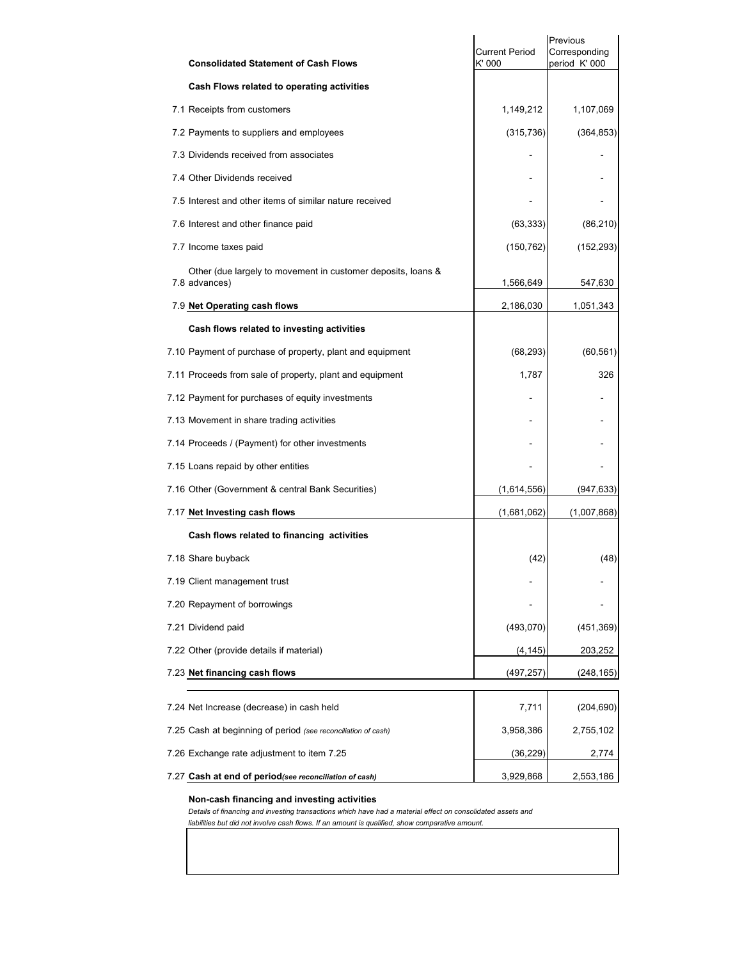| <b>Consolidated Statement of Cash Flows</b>                                   | <b>Current Period</b><br>K' 000 | Previous<br>Corresponding<br>period K' 000 |
|-------------------------------------------------------------------------------|---------------------------------|--------------------------------------------|
| Cash Flows related to operating activities                                    |                                 |                                            |
| 7.1 Receipts from customers                                                   | 1,149,212                       | 1,107,069                                  |
| 7.2 Payments to suppliers and employees                                       | (315, 736)                      | (364, 853)                                 |
| 7.3 Dividends received from associates                                        |                                 |                                            |
| 7.4 Other Dividends received                                                  |                                 |                                            |
| 7.5 Interest and other items of similar nature received                       |                                 |                                            |
| 7.6 Interest and other finance paid                                           | (63, 333)                       | (86, 210)                                  |
| 7.7 Income taxes paid                                                         | (150, 762)                      | (152, 293)                                 |
| Other (due largely to movement in customer deposits, loans &<br>7.8 advances) | 1,566,649                       | 547,630                                    |
| 7.9 Net Operating cash flows                                                  | 2,186,030                       | 1,051,343                                  |
| Cash flows related to investing activities                                    |                                 |                                            |
| 7.10 Payment of purchase of property, plant and equipment                     | (68, 293)                       | (60, 561)                                  |
| 7.11 Proceeds from sale of property, plant and equipment                      | 1,787                           | 326                                        |
| 7.12 Payment for purchases of equity investments                              |                                 |                                            |
| 7.13 Movement in share trading activities                                     |                                 |                                            |
| 7.14 Proceeds / (Payment) for other investments                               |                                 |                                            |
| 7.15 Loans repaid by other entities                                           |                                 |                                            |
| 7.16 Other (Government & central Bank Securities)                             | (1,614,556)                     | (947, 633)                                 |
| 7.17 Net Investing cash flows                                                 | (1,681,062)                     | (1,007,868)                                |
| Cash flows related to financing activities                                    |                                 |                                            |
| 7.18 Share buyback                                                            | (42)                            | (48)                                       |
| 7.19 Client management trust                                                  |                                 |                                            |
| 7.20 Repayment of borrowings                                                  |                                 |                                            |
| 7.21 Dividend paid                                                            | (493, 070)                      | (451, 369)                                 |
| 7.22 Other (provide details if material)                                      | (4,145)                         | 203,252                                    |
| 7.23 Net financing cash flows                                                 | (497, 257)                      | (248,165)                                  |
| 7.24 Net Increase (decrease) in cash held                                     | 7,711                           | (204, 690)                                 |
| 7.25 Cash at beginning of period (see reconciliation of cash)                 | 3,958,386                       | 2,755,102                                  |
| 7.26 Exchange rate adjustment to item 7.25                                    | (36,229)                        | 2,774                                      |
| 7.27 Cash at end of period(see reconciliation of cash)                        | 3,929,868                       | 2,553,186                                  |

#### **Non-cash financing and investing activities**

*Details of financing and investing transactions which have had a material effect on consolidated assets and liabilities but did not involve cash flows. If an amount is qualified, show comparative amount.*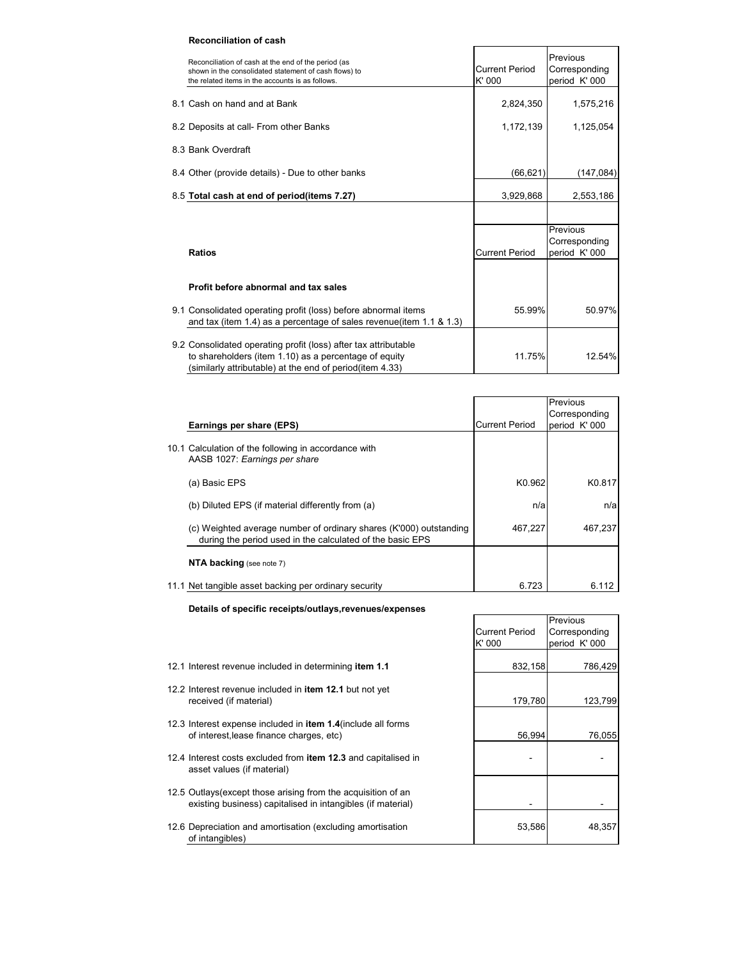# **Reconciliation of cash**

| Reconciliation of cash at the end of the period (as<br>shown in the consolidated statement of cash flows) to<br>the related items in the accounts is as follows.                     | Current Period<br>K' 000 | Previous<br>Corresponding<br>period K' 000 |
|--------------------------------------------------------------------------------------------------------------------------------------------------------------------------------------|--------------------------|--------------------------------------------|
| 8.1 Cash on hand and at Bank                                                                                                                                                         | 2,824,350                | 1,575,216                                  |
| 8.2 Deposits at call- From other Banks                                                                                                                                               | 1,172,139                | 1,125,054                                  |
| 8.3 Bank Overdraft                                                                                                                                                                   |                          |                                            |
| 8.4 Other (provide details) - Due to other banks                                                                                                                                     | (66, 621)                | (147,084)                                  |
| 8.5 Total cash at end of period(items 7.27)                                                                                                                                          | 3,929,868                | 2,553,186                                  |
|                                                                                                                                                                                      |                          |                                            |
| <b>Ratios</b>                                                                                                                                                                        | <b>Current Period</b>    | Previous<br>Corresponding<br>period K' 000 |
| Profit before abnormal and tax sales                                                                                                                                                 |                          |                                            |
| 9.1 Consolidated operating profit (loss) before abnormal items<br>and tax (item 1.4) as a percentage of sales revenue (item 1.1 & 1.3)                                               | 55.99%                   | 50.97%                                     |
| 9.2 Consolidated operating profit (loss) after tax attributable<br>to shareholders (item 1.10) as a percentage of equity<br>(similarly attributable) at the end of period(item 4.33) | 11.75%                   | 12.54%                                     |

|                                                                                                                                 |                       | Previous      |
|---------------------------------------------------------------------------------------------------------------------------------|-----------------------|---------------|
|                                                                                                                                 |                       | Corresponding |
| Earnings per share (EPS)                                                                                                        | <b>Current Period</b> | period K' 000 |
| 10.1 Calculation of the following in accordance with<br>AASB 1027: Earnings per share                                           |                       |               |
| (a) Basic EPS                                                                                                                   | K0.962                | K0.817        |
| (b) Diluted EPS (if material differently from (a)                                                                               | n/a                   | n/a           |
| (c) Weighted average number of ordinary shares (K'000) outstanding<br>during the period used in the calculated of the basic EPS | 467,227               | 467,237       |
| NTA backing (see note 7)                                                                                                        |                       |               |
| 11.1 Net tangible asset backing per ordinary security                                                                           | 6.723                 | 6.112         |

٦

**Details of specific receipts/outlays,revenues/expenses**

|                                                                                                                              |                       | Previous      |
|------------------------------------------------------------------------------------------------------------------------------|-----------------------|---------------|
|                                                                                                                              | <b>Current Period</b> | Corresponding |
|                                                                                                                              | $K'$ 000              | period K' 000 |
|                                                                                                                              |                       |               |
| 12.1 Interest revenue included in determining item 1.1                                                                       | 832,158               | 786,429       |
| 12.2 Interest revenue included in <b>item 12.1</b> but not yet                                                               |                       |               |
| received (if material)                                                                                                       | 179,780               | 123,799       |
|                                                                                                                              |                       |               |
| 12.3 Interest expense included in <b>item 1.4</b> (include all forms                                                         |                       |               |
| of interest, lease finance charges, etc)                                                                                     | 56,994                | 76,055        |
|                                                                                                                              |                       |               |
| 12.4 Interest costs excluded from <b>item 12.3</b> and capitalised in<br>asset values (if material)                          |                       |               |
|                                                                                                                              |                       |               |
| 12.5 Outlays (except those arising from the acquisition of an<br>existing business) capitalised in intangibles (if material) |                       |               |
|                                                                                                                              |                       |               |
| 12.6 Depreciation and amortisation (excluding amortisation<br>of intangibles)                                                | 53,586                | 48,357        |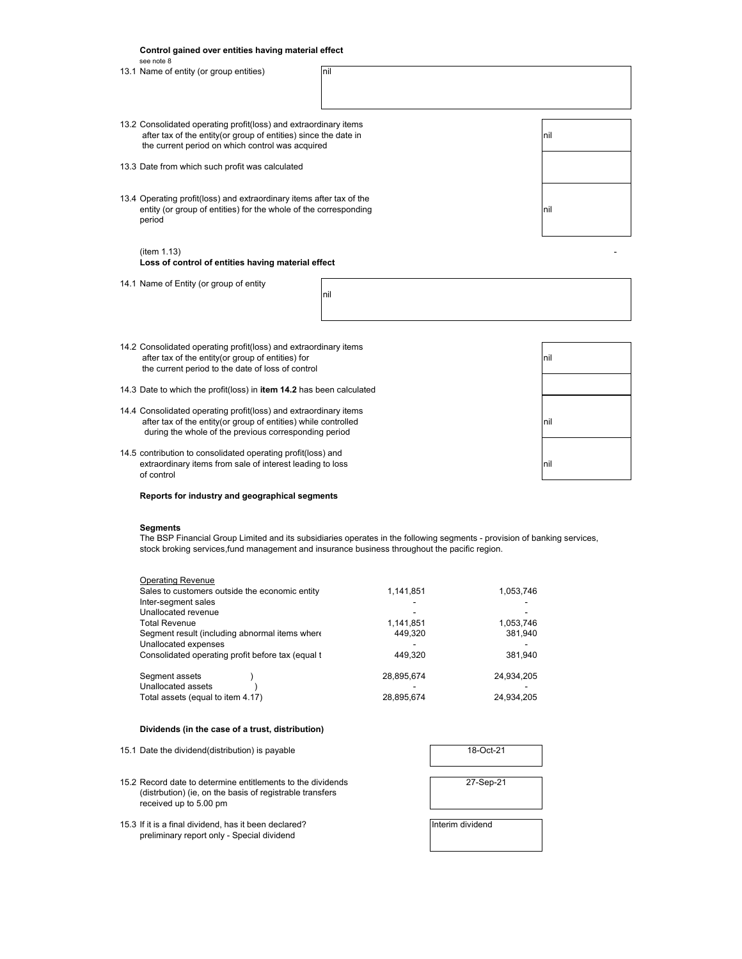|  | Control gained over entities having material effect<br>see note 8                                                                                                                           |     |      |
|--|---------------------------------------------------------------------------------------------------------------------------------------------------------------------------------------------|-----|------|
|  | 13.1 Name of entity (or group entities)                                                                                                                                                     | nil |      |
|  | 13.2 Consolidated operating profit(loss) and extraordinary items<br>after tax of the entity(or group of entities) since the date in<br>the current period on which control was acquired     |     | Inil |
|  | 13.3 Date from which such profit was calculated                                                                                                                                             |     |      |
|  | 13.4 Operating profit(loss) and extraordinary items after tax of the<br>entity (or group of entities) for the whole of the corresponding<br>period                                          |     | nil  |
|  | (item 1.13)<br>Loss of control of entities having material effect                                                                                                                           |     |      |
|  | 14.1 Name of Entity (or group of entity                                                                                                                                                     | nil |      |
|  |                                                                                                                                                                                             |     |      |
|  | 14.2 Consolidated operating profit(loss) and extraordinary items<br>after tax of the entity(or group of entities) for<br>the current period to the date of loss of control                  |     | nil  |
|  | 14.3 Date to which the profit(loss) in item 14.2 has been calculated                                                                                                                        |     |      |
|  | 14.4 Consolidated operating profit(loss) and extraordinary items<br>after tax of the entity(or group of entities) while controlled<br>during the whole of the previous corresponding period |     | Inil |
|  |                                                                                                                                                                                             |     |      |

14.5 contribution to consolidated operating profit(loss) and extraordinary items from sale of interest leading to loss nill all the straordinary items from sale of interest leading to loss of control

**Reports for industry and geographical segments**

## **Segments**

The BSP Financial Group Limited and its subsidiaries operates in the following segments - provision of banking services, stock broking services,fund management and insurance business throughout the pacific region.

| <b>Operating Revenue</b>                          |            |            |
|---------------------------------------------------|------------|------------|
| Sales to customers outside the economic entity    | 1,141,851  | 1,053,746  |
| Inter-segment sales                               |            |            |
| Unallocated revenue                               |            |            |
| <b>Total Revenue</b>                              | 1,141,851  | 1,053,746  |
| Segment result (including abnormal items where    | 449.320    | 381,940    |
| Unallocated expenses                              |            |            |
| Consolidated operating profit before tax (equal t | 449.320    | 381.940    |
|                                                   |            |            |
| Segment assets                                    | 28,895,674 | 24,934,205 |
| Unallocated assets                                |            |            |
| Total assets (equal to item 4.17)                 | 28,895,674 | 24,934,205 |
|                                                   |            |            |

## **Dividends (in the case of a trust, distribution)**

| 15.1 Date the dividend (distribution) is payable                                                                                                  | 18-Oct-21        |
|---------------------------------------------------------------------------------------------------------------------------------------------------|------------------|
| 15.2 Record date to determine entitlements to the dividends<br>(distrbution) (ie, on the basis of registrable transfers<br>received up to 5.00 pm | 27-Sep-21        |
| 15.3 If it is a final dividend, has it been declared?<br>preliminary report only - Special dividend                                               | Interim dividend |

| 18-Oct-21        |  |
|------------------|--|
| 27-Sep-21        |  |
| Interim dividend |  |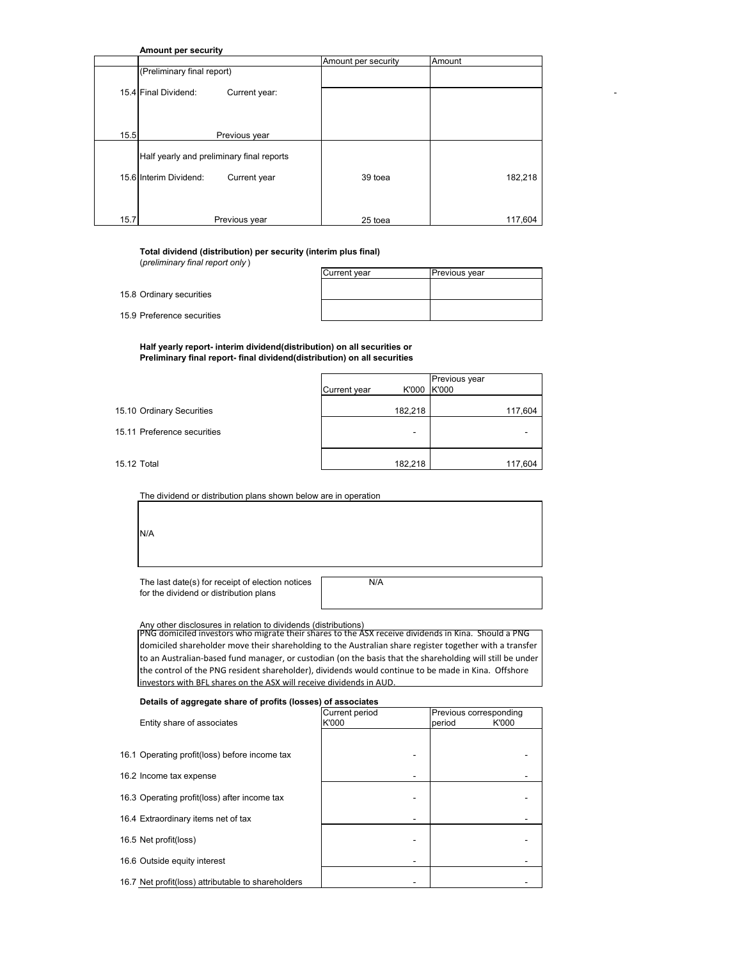**Amount per security**

| (Preliminary final report)<br>15.4 Final Dividend:<br>Current year: |
|---------------------------------------------------------------------|
|                                                                     |
|                                                                     |
| 15.5<br>Previous year                                               |
| Half yearly and preliminary final reports                           |
| 15.6 Interim Dividend:<br>182,218<br>39 toea<br>Current year        |
|                                                                     |
| 15.7<br>117,604<br>Previous year<br>25 toea                         |

**Total dividend (distribution) per security (interim plus final)** (*preliminary final report only* )

|                       | Current year | <b>Previous year</b> |
|-----------------------|--------------|----------------------|
| Ordinary securities   |              |                      |
| Preference securities |              |                      |

**Half yearly report- interim dividend(distribution) on all securities or Preliminary final report- final dividend(distribution) on all securities**

| K'000 K'000<br>Current year                     |  |
|-------------------------------------------------|--|
|                                                 |  |
|                                                 |  |
| 182,218<br>15.10 Ordinary Securities<br>117,604 |  |
|                                                 |  |
| 15.11 Preference securities<br>-                |  |
|                                                 |  |
|                                                 |  |
| 182,218<br>15.12 Total<br>117,604               |  |

The dividend or distribution plans shown below are in operation

N/A

 $15.8$  $15.9$ 

> The last date(s) for receipt of election notices N/A for the dividend or distribution plans

Any other disclosures in relation to dividends (distributions) PNG domiciled investors who migrate their shares to the ASX receive dividends in Kina. Should a PNG domiciled shareholder move their shareholding to the Australian share register together with a transfer to an Australian‐based fund manager, or custodian (on the basis that the shareholding will still be under the control of the PNG resident shareholder), dividends would continue to be made in Kina. Offshore investors with BFL shares on the ASX will receive dividends in AUD.

**Details of aggregate share of profits (losses) of associates**

|                                                    | Current period | Previous corresponding |
|----------------------------------------------------|----------------|------------------------|
| Entity share of associates                         | K'000          | K'000<br>period        |
|                                                    |                |                        |
| 16.1 Operating profit(loss) before income tax      |                |                        |
| 16.2 Income tax expense                            |                |                        |
| 16.3 Operating profit(loss) after income tax       |                |                        |
| 16.4 Extraordinary items net of tax                | -              |                        |
| 16.5 Net profit(loss)                              |                |                        |
| 16.6 Outside equity interest                       |                |                        |
| 16.7 Net profit(loss) attributable to shareholders |                |                        |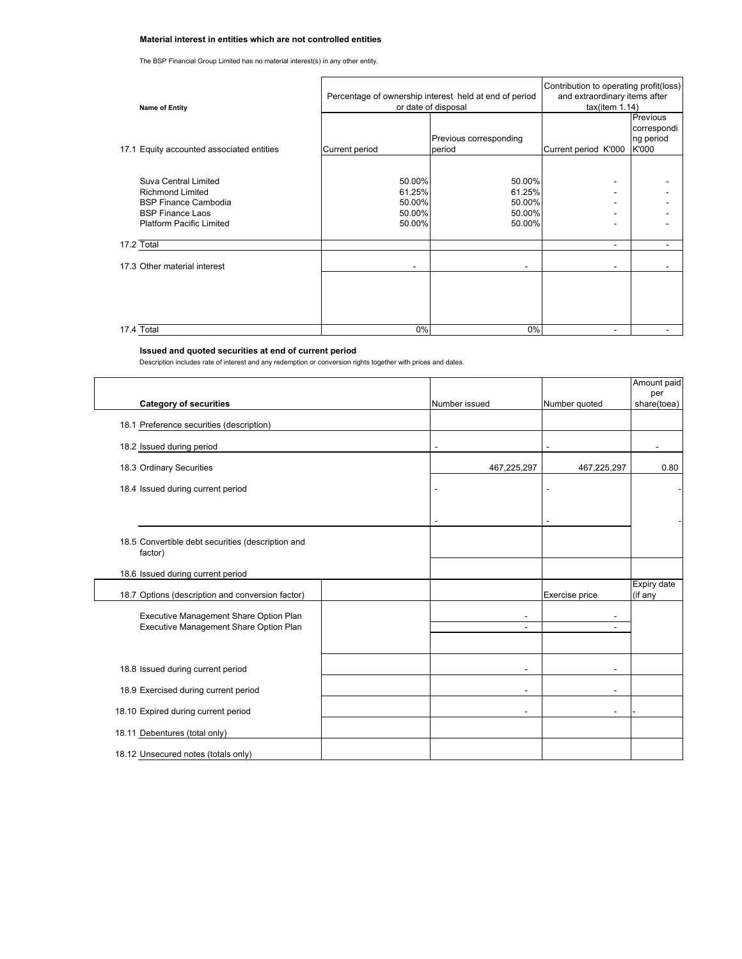# **Material interest in entities which are not controlled entities**

The BSP Financial Group Limited has no material interest(s) in any other entity.

| <b>Name of Entity</b>                                                                                                                        | Percentage of ownership interest held at end of period<br>or date of disposal |                                                | Contribution to operating profit(loss)<br>and extraordinary items after<br>tax(item 1.14) |                                               |
|----------------------------------------------------------------------------------------------------------------------------------------------|-------------------------------------------------------------------------------|------------------------------------------------|-------------------------------------------------------------------------------------------|-----------------------------------------------|
| 17.1 Equity accounted associated entities                                                                                                    | Current period                                                                | Previous corresponding<br>period               | Current period K'000                                                                      | Previous<br>correspondi<br>ng period<br>K'000 |
| Suva Central Limited<br><b>Richmond Limited</b><br><b>BSP Finance Cambodia</b><br><b>BSP Finance Laos</b><br><b>Platform Pacific Limited</b> | 50.00%<br>61.25%<br>50.00%<br>50.00%<br>50.00%                                | 50.00%<br>61.25%<br>50.00%<br>50.00%<br>50.00% |                                                                                           |                                               |
| 17.2 Total                                                                                                                                   |                                                                               |                                                | ۰                                                                                         |                                               |
| 17.3 Other material interest                                                                                                                 |                                                                               |                                                |                                                                                           |                                               |
|                                                                                                                                              |                                                                               |                                                |                                                                                           |                                               |
| 17.4 Total                                                                                                                                   | 0%                                                                            | $0\%$                                          |                                                                                           |                                               |

## **Issued and quoted securities at end of current period**

Description includes rate of interest and any redemption or conversion rights together with prices and dates.

| <b>Category of securities</b>                                                    | Number issued                 | Number quoted                                        | Amount paid<br>per<br>share(toea) |
|----------------------------------------------------------------------------------|-------------------------------|------------------------------------------------------|-----------------------------------|
| 18.1 Preference securities (description)                                         |                               |                                                      |                                   |
| 18.2 Issued during period                                                        |                               |                                                      |                                   |
| 18.3 Ordinary Securities                                                         | 467,225,297                   | 467,225,297                                          | 0.80                              |
| 18.4 Issued during current period                                                |                               |                                                      |                                   |
|                                                                                  |                               |                                                      |                                   |
| 18.5 Convertible debt securities (description and<br>factor)                     |                               |                                                      |                                   |
| 18.6 Issued during current period                                                |                               |                                                      |                                   |
| 18.7 Options (description and conversion factor)                                 |                               | Exercise price                                       | Expiry date<br>(if any            |
| Executive Management Share Option Plan<br>Executive Management Share Option Plan | $\overline{\phantom{a}}$<br>٠ | $\overline{\phantom{a}}$<br>$\overline{\phantom{a}}$ |                                   |
| 18.8 Issued during current period                                                |                               | $\overline{\phantom{0}}$                             |                                   |
| 18.9 Exercised during current period                                             |                               | $\overline{\phantom{0}}$                             |                                   |
| 18.10 Expired during current period                                              |                               | ۰                                                    |                                   |
| 18.11 Debentures (total only)                                                    |                               |                                                      |                                   |
| 18.12 Unsecured notes (totals only)                                              |                               |                                                      |                                   |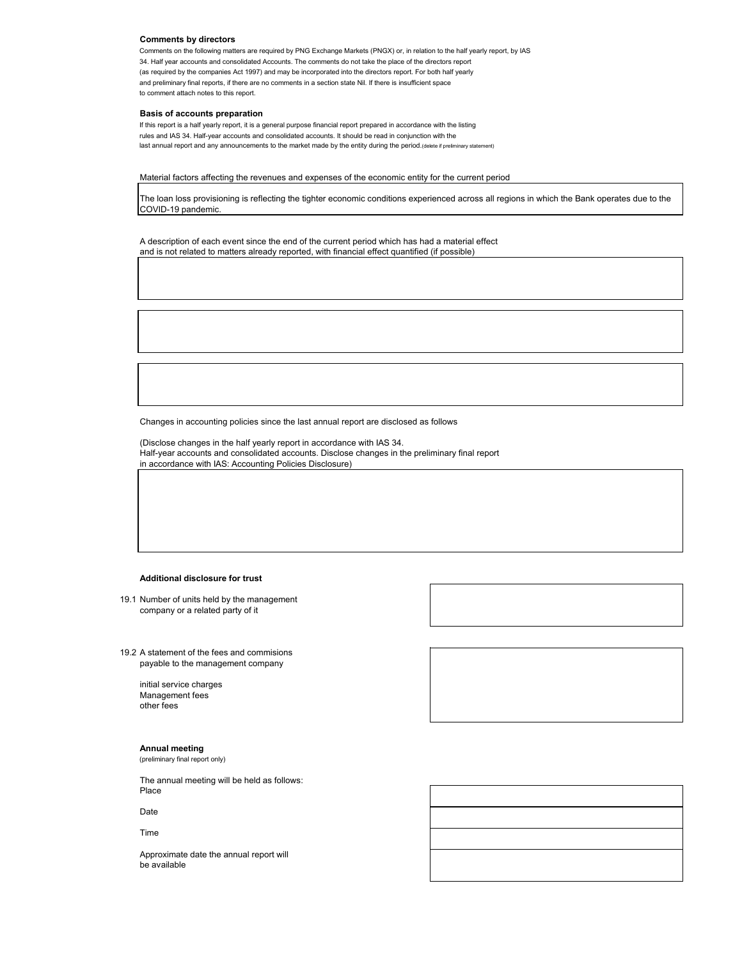## **Comments by directors**

Comments on the following matters are required by PNG Exchange Markets (PNGX) or, in relation to the half yearly report, by IAS 34. Half year accounts and consolidated Accounts. The comments do not take the place of the directors report (as required by the companies Act 1997) and may be incorporated into the directors report. For both half yearly and preliminary final reports, if there are no comments in a section state Nil. If there is insufficient space to comment attach notes to this report.

#### **Basis of accounts preparation**

If this report is a half yearly report, it is a general purpose financial report prepared in accordance with the listing rules and IAS 34. Half-year accounts and consolidated accounts. It should be read in conjunction with the last annual report and any announcements to the market made by the entity during the period.(delete if preliminary statem

## Material factors affecting the revenues and expenses of the economic entity for the current period

The loan loss provisioning is reflecting the tighter economic conditions experienced across all regions in which the Bank operates due to the COVID-19 pandemic.

A description of each event since the end of the current period which has had a material effect and is not related to matters already reported, with financial effect quantified (if possible)

Changes in accounting policies since the last annual report are disclosed as follows

(Disclose changes in the half yearly report in accordance with IAS 34. Half-year accounts and consolidated accounts. Disclose changes in the preliminary final report in accordance with IAS: Accounting Policies Disclosure)

## **Additional disclosure for trust**

19.1 Number of units held by the management company or a related party of it

19.2 A statement of the fees and commisions payable to the management company

> initial service charges Management fees other fees

# **Annual meeting**

(preliminary final report only)

The annual meeting will be held as follows: Place

Date

#### Time

Approximate date the annual report will be available